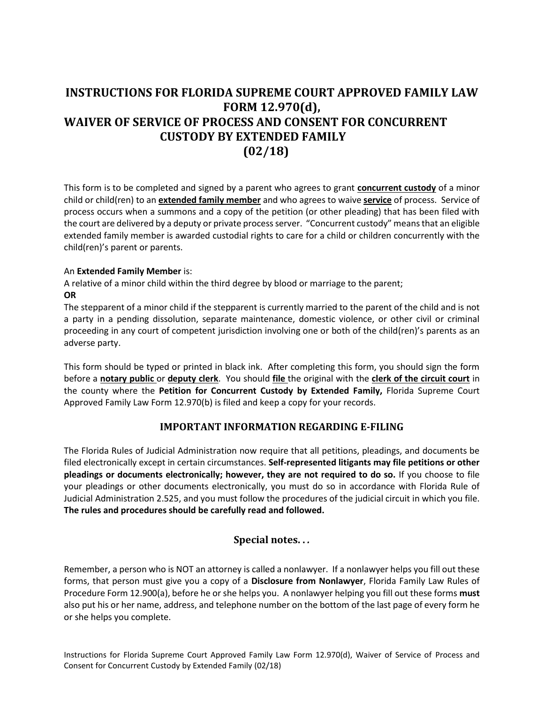# **INSTRUCTIONS FOR FLORIDA SUPREME COURT APPROVED FAMILY LAW FORM 12.970(d), WAIVER OF SERVICE OF PROCESS AND CONSENT FOR CONCURRENT CUSTODY BY EXTENDED FAMILY (02/18)**

 This form is to be completed and signed by a parent who agrees to grant **concurrent custody** of a minor child or child(ren) to an **extended family member** and who agrees to waive **service** of process. Service of process occurs when a summons and a copy of the petition (or other pleading) that has been filed with the court are delivered by a deputy or private process server. "Concurrent custody" meansthat an eligible extended family member is awarded custodial rights to care for a child or children concurrently with the child(ren)'s parent or parents.

### An **Extended Family Member** is:

A relative of a minor child within the third degree by blood or marriage to the parent;

#### **OR**

 The stepparent of a minor child if the stepparent is currently married to the parent of the child and is not a party in a pending dissolution, separate maintenance, domestic violence, or other civil or criminal proceeding in any court of competent jurisdiction involving one or both of the child(ren)'s parents as an adverse party.

 This form should be typed or printed in black ink. After completing this form, you should sign the form before a **notary public** or **deputy clerk**. You should **file** the original with the **clerk of the circuit court** in the county where the **Petition for Concurrent Custody by Extended Family,** Florida Supreme Court Approved Family Law Form 12.970(b) is filed and keep a copy for your records.

### **IMPORTANT INFORMATION REGARDING E-FILING**

 The Florida Rules of Judicial Administration now require that all petitions, pleadings, and documents be  **pleadings or documents electronically; however, they are not required to do so.** If you choose to file your pleadings or other documents electronically, you must do so in accordance with Florida Rule of Judicial Administration 2.525, and you must follow the procedures of the judicial circuit in which you file. filed electronically except in certain circumstances. **Self-represented litigants may file petitions or other The rules and procedures should be carefully read and followed.** 

### **Special notes. .** *.*

 Remember, a person who is NOT an attorney is called a nonlawyer. If a nonlawyer helps you fill out these forms, that person must give you a copy of a **Disclosure from Nonlawyer**, Florida Family Law Rules of Procedure Form 12.900(a), before he or she helps you. A nonlawyer helping you fill out these forms **must**  also put his or her name, address, and telephone number on the bottom of the last page of every form he or she helps you complete.

 Instructions for Florida Supreme Court Approved Family Law Form 12.970(d), Waiver of Service of Process and Consent for Concurrent Custody by Extended Family (02/18)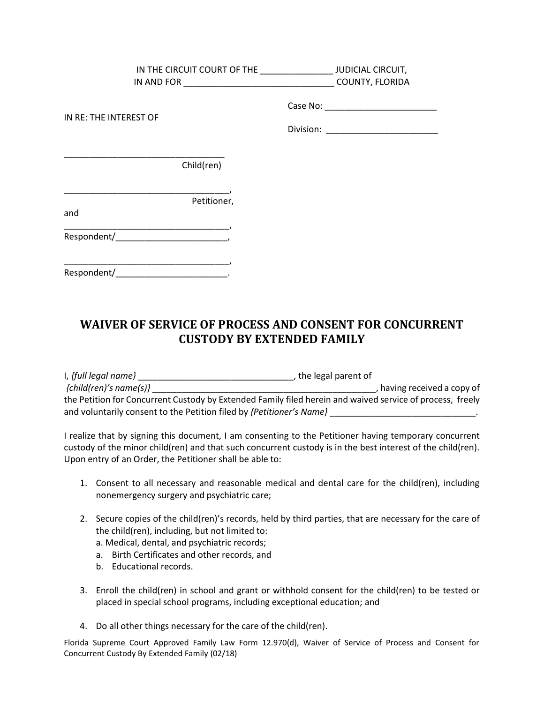| IN THE CIRCUIT COURT OF THE _______________ |  | JUDICIAL CIRCUIT, |
|---------------------------------------------|--|-------------------|
|                                             |  | COUNTY, FLORIDA   |
| IN RE: THE INTEREST OF                      |  |                   |
|                                             |  |                   |
|                                             |  |                   |
| Child(ren)                                  |  |                   |
| Petitioner,                                 |  |                   |
| and                                         |  |                   |
|                                             |  |                   |
| Respondent/______________________________   |  |                   |

# **WAIVER OF SERVICE OF PROCESS AND CONSENT FOR CONCURRENT CUSTODY BY EXTENDED FAMILY**

| I, {full legal name}       | , the legal parent of                                                                                     |                             |  |
|----------------------------|-----------------------------------------------------------------------------------------------------------|-----------------------------|--|
| ${child (ren)'s name (s)}$ |                                                                                                           | , having received a copy of |  |
|                            | the Petition for Concurrent Custody by Extended Family filed herein and waived service of process, freely |                             |  |
|                            | and voluntarily consent to the Petition filed by <i>{Petitioner's Name}</i>                               |                             |  |

 I realize that by signing this document, I am consenting to the Petitioner having temporary concurrent custody of the minor child(ren) and that such concurrent custody is in the best interest of the child(ren). Upon entry of an Order, the Petitioner shall be able to:

- 1. Consent to all necessary and reasonable medical and dental care for the child(ren), including nonemergency surgery and psychiatric care;
- 2. Secure copies of the child(ren)'s records, held by third parties, that are necessary for the care of the child(ren), including, but not limited to:
	- a. Medical, dental, and psychiatric records;
	- a. Birth Certificates and other records, and
	- b. Educational records.
- 3. Enroll the child(ren) in school and grant or withhold consent for the child(ren) to be tested or placed in special school programs, including exceptional education; and
- 4. Do all other things necessary for the care of the child(ren).

 Florida Supreme Court Approved Family Law Form 12.970(d), Waiver of Service of Process and Consent for Concurrent Custody By Extended Family (02/18)